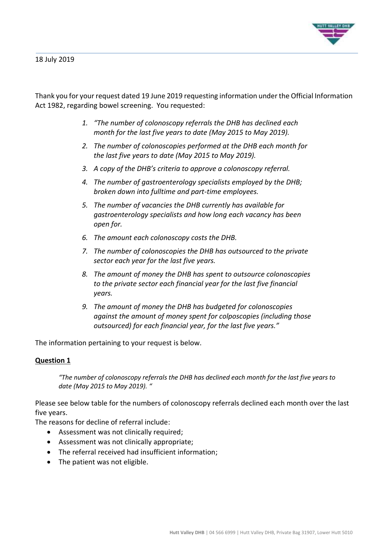

Thank you for your request dated 19 June 2019 requesting information under the Official Information Act 1982, regarding bowel screening. You requested:

- *1. "The number of colonoscopy referrals the DHB has declined each month for the last five years to date (May 2015 to May 2019).*
- *2. The number of colonoscopies performed at the DHB each month for the last five years to date (May 2015 to May 2019).*
- *3. A copy of the DHB's criteria to approve a colonoscopy referral.*
- *4. The number of gastroenterology specialists employed by the DHB; broken down into fulltime and part-time employees.*
- *5. The number of vacancies the DHB currently has available for gastroenterology specialists and how long each vacancy has been open for.*
- *6. The amount each colonoscopy costs the DHB.*
- *7. The number of colonoscopies the DHB has outsourced to the private sector each year for the last five years.*
- *8. The amount of money the DHB has spent to outsource colonoscopies to the private sector each financial year for the last five financial years.*
- *9. The amount of money the DHB has budgeted for colonoscopies against the amount of money spent for colposcopies (including those outsourced) for each financial year, for the last five years."*

The information pertaining to your request is below.

# **Question 1**

*"The number of colonoscopy referrals the DHB has declined each month for the last five years to date (May 2015 to May 2019). "*

Please see below table for the numbers of colonoscopy referrals declined each month over the last five years.

The reasons for decline of referral include:

- Assessment was not clinically required;
- Assessment was not clinically appropriate;
- The referral received had insufficient information;
- The patient was not eligible.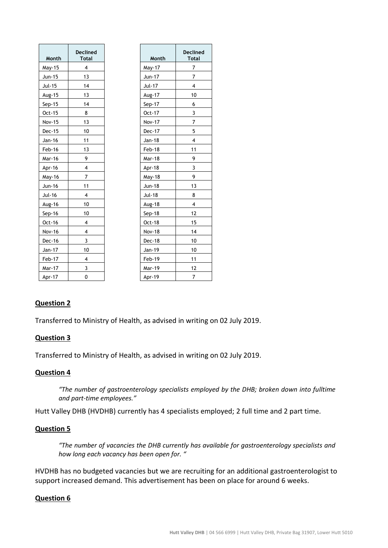| Month         | <b>Declined</b><br><b>Total</b> | Month         | <b>Declined</b><br><b>Total</b> |
|---------------|---------------------------------|---------------|---------------------------------|
| May-15        | 4                               | May-17        | 7                               |
| Jun-15        | 13                              | Jun-17        | $\overline{7}$                  |
| Jul-15        | 14                              | Jul-17        | 4                               |
| Aug-15        | 13                              | Aug-17        | 10                              |
| $Sep-15$      | 14                              | Sep-17        | 6                               |
| Oct-15        | 8                               | Oct-17        | 3                               |
| <b>Nov-15</b> | 13                              | <b>Nov-17</b> | 7                               |
| Dec-15        | 10                              | Dec-17        | 5                               |
| Jan-16        | 11                              | Jan-18        | 4                               |
| Feb-16        | 13                              | Feb-18        | 11                              |
| Mar-16        | 9                               | Mar-18        | 9                               |
| Apr-16        | 4                               | Apr-18        | 3                               |
| May-16        | $\overline{7}$                  | May-18        | 9                               |
| Jun-16        | 11                              | Jun-18        | 13                              |
| Jul-16        | $\overline{\mathbf{4}}$         | <b>Jul-18</b> | 8                               |
| Aug-16        | 10                              | <b>Aug-18</b> | 4                               |
| $Sep-16$      | 10                              | $Sep-18$      | 12                              |
| Oct-16        | $\overline{4}$                  | Oct-18        | 15                              |
| Nov-16        | 4                               | <b>Nov-18</b> | 14                              |
| Dec-16        | 3                               | Dec-18        | 10                              |
| Jan-17        | 10                              | Jan-19        | 10                              |
| Feb-17        | 4                               | Feb-19        | 11                              |
| Mar-17        | 3                               | Mar-19        | 12                              |
| Apr-17        | 0                               | Apr-19        | $\overline{7}$                  |

# **Question 2**

Transferred to Ministry of Health, as advised in writing on 02 July 2019.

# **Question 3**

Transferred to Ministry of Health, as advised in writing on 02 July 2019.

# **Question 4**

*"The number of gastroenterology specialists employed by the DHB; broken down into fulltime and part-time employees."*

Hutt Valley DHB (HVDHB) currently has 4 specialists employed; 2 full time and 2 part time.

#### **Question 5**

*"The number of vacancies the DHB currently has available for gastroenterology specialists and how long each vacancy has been open for. "*

HVDHB has no budgeted vacancies but we are recruiting for an additional gastroenterologist to support increased demand. This advertisement has been on place for around 6 weeks.

#### **Question 6**